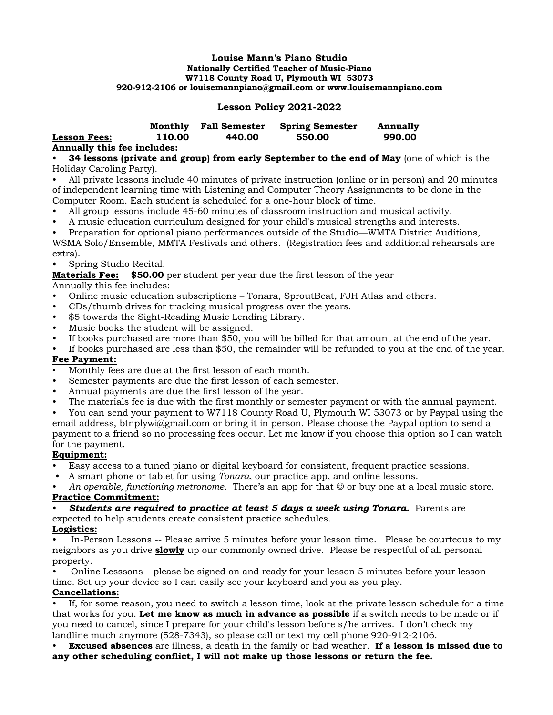#### **Louise Mann's Piano Studio Nationally Certified Teacher of Music-Piano W7118 County Road U, Plymouth WI 53073 920-912-2106 or louisemannpiano@gmail.com or www.louisemannpiano.com**

# **Lesson Policy 2021-2022**

|                     | Monthly | <b>Fall Semester</b> | <b>Spring Semester</b> | Annually |
|---------------------|---------|----------------------|------------------------|----------|
| <b>Lesson Fees:</b> | 110.00  | 440.00               | 550.00                 | 990.00   |
|                     |         |                      |                        |          |

**Annually this fee includes:**

• **34 lessons (private and group) from early September to the end of May** (one of which is the Holiday Caroling Party).

• All private lessons include 40 minutes of private instruction (online or in person) and 20 minutes of independent learning time with Listening and Computer Theory Assignments to be done in the Computer Room. Each student is scheduled for a one-hour block of time.

- All group lessons include 45-60 minutes of classroom instruction and musical activity.
- A music education curriculum designed for your child's musical strengths and interests.

• Preparation for optional piano performances outside of the Studio—WMTA District Auditions,

WSMA Solo/Ensemble, MMTA Festivals and others. (Registration fees and additional rehearsals are extra).

• Spring Studio Recital.

**Materials Fee:** \$50.00 per student per year due the first lesson of the year

Annually this fee includes:

- Online music education subscriptions Tonara, SproutBeat, FJH Atlas and others.
- CDs/thumb drives for tracking musical progress over the years.
- \$5 towards the Sight-Reading Music Lending Library.
- Music books the student will be assigned.
- If books purchased are more than \$50, you will be billed for that amount at the end of the year.
- If books purchased are less than \$50, the remainder will be refunded to you at the end of the year.

### **Fee Payment:**

- Monthly fees are due at the first lesson of each month.
- Semester payments are due the first lesson of each semester.
- Annual payments are due the first lesson of the year.
- The materials fee is due with the first monthly or semester payment or with the annual payment.
- You can send your payment to W7118 County Road U, Plymouth WI 53073 or by Paypal using the

email address, btnplywi@gmail.com or bring it in person. Please choose the Paypal option to send a payment to a friend so no processing fees occur. Let me know if you choose this option so I can watch for the payment.

# **Equipment:**

- Easy access to a tuned piano or digital keyboard for consistent, frequent practice sessions.
- A smart phone or tablet for using *Tonara*, our practice app, and online lessons.

An operable, functioning metronome. There's an app for that  $\odot$  or buy one at a local music store. **Practice Commitment:**

### • *Students are required to practice at least 5 days a week using Tonara.* Parents are

expected to help students create consistent practice schedules.

# **Logistics:**

• In-Person Lessons -- Please arrive 5 minutes before your lesson time. Please be courteous to my neighbors as you drive **slowly** up our commonly owned drive. Please be respectful of all personal property.

• Online Lesssons – please be signed on and ready for your lesson 5 minutes before your lesson time. Set up your device so I can easily see your keyboard and you as you play.

**Cancellations:**

• If, for some reason, you need to switch a lesson time, look at the private lesson schedule for a time that works for you. **Let me know as much in advance as possible** if a switch needs to be made or if you need to cancel, since I prepare for your child's lesson before s/he arrives. I don't check my landline much anymore (528-7343), so please call or text my cell phone 920-912-2106.

• **Excused absences** are illness, a death in the family or bad weather. **If a lesson is missed due to any other scheduling conflict, I will not make up those lessons or return the fee.**